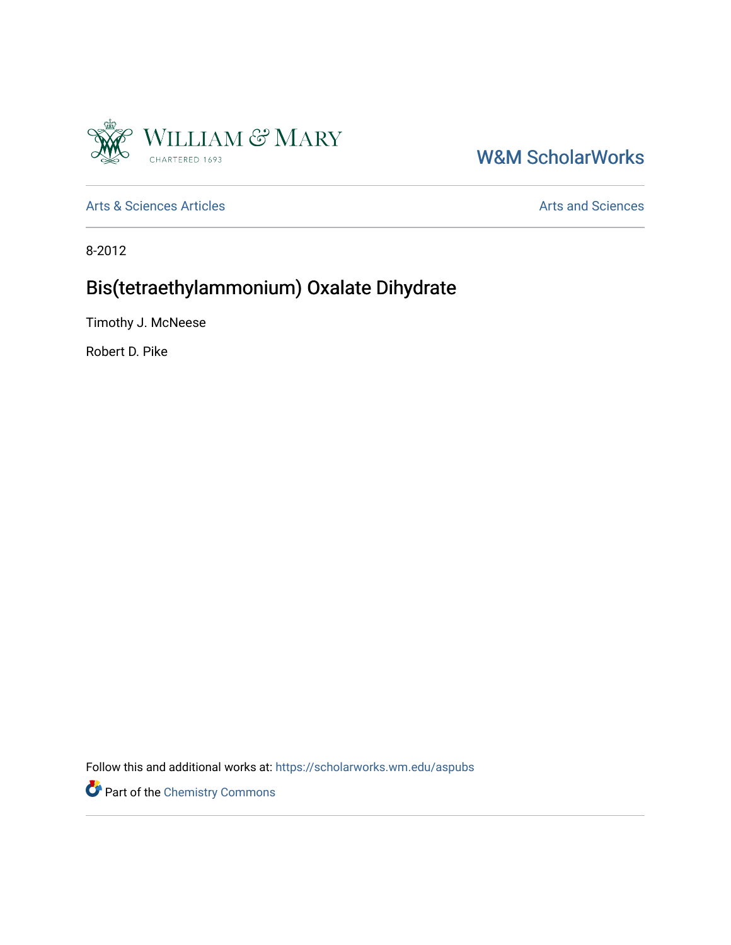

# W&M ScholarWorks

[Arts & Sciences Articles](https://scholarworks.wm.edu/aspubs) **Articles** [Arts and Sciences](https://scholarworks.wm.edu/as) Arts and Sciences

8-2012

# Bis(tetraethylammonium) Oxalate Dihydrate

Timothy J. McNeese

Robert D. Pike

Follow this and additional works at: [https://scholarworks.wm.edu/aspubs](https://scholarworks.wm.edu/aspubs?utm_source=scholarworks.wm.edu%2Faspubs%2F1965&utm_medium=PDF&utm_campaign=PDFCoverPages) 

Part of the [Chemistry Commons](http://network.bepress.com/hgg/discipline/131?utm_source=scholarworks.wm.edu%2Faspubs%2F1965&utm_medium=PDF&utm_campaign=PDFCoverPages)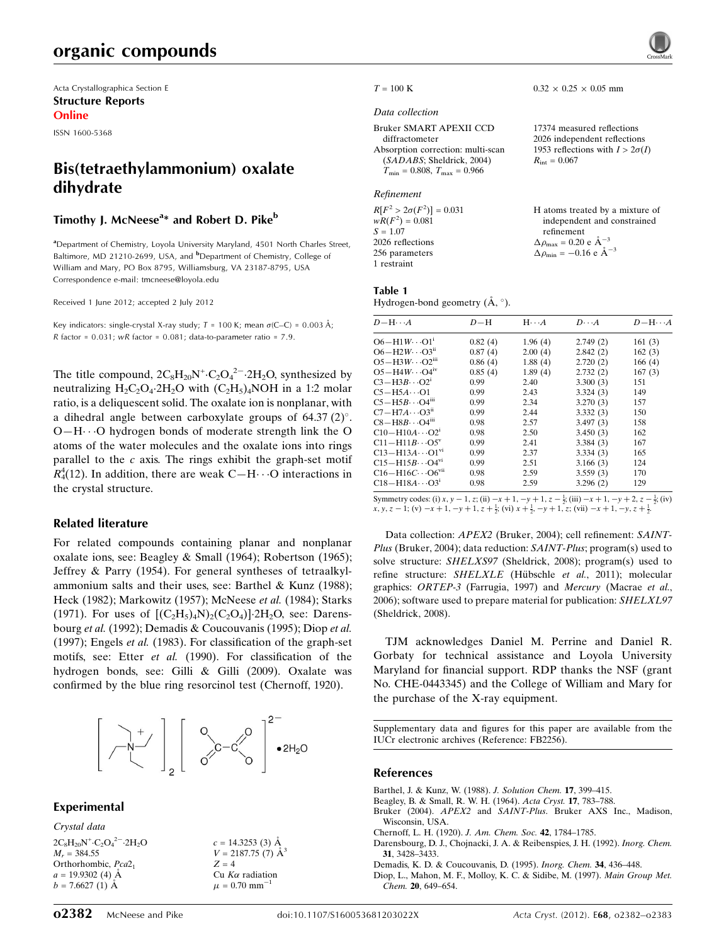## organic compounds

Acta Crystallographica Section E Structure Reports Online

ISSN 1600-5368

## Bis(tetraethylammonium) oxalate dihydrate

### Timothy J. McNeese<sup>a</sup>\* and Robert D. Pike<sup>b</sup>

<sup>a</sup> Department of Chemistry, Loyola University Maryland, 4501 North Charles Street, Baltimore, MD 21210-2699, USA, and <sup>b</sup>Department of Chemistry, College of William and Mary, PO Box 8795, Williamsburg, VA 23187-8795, USA Correspondence e-mail: tmcneese@loyola.edu

Received 1 June 2012; accepted 2 July 2012

Key indicators: single-crystal X-ray study;  $T = 100$  K; mean  $\sigma$ (C–C) = 0.003 Å; R factor =  $0.031$ ; wR factor =  $0.081$ ; data-to-parameter ratio =  $7.9$ .

The title compound,  $2C_8H_{20}N^+ \cdot C_2O_4^2$  -  $2H_2O$ , synthesized by neutralizing  $H_2C_2O_4$ :2 $H_2O$  with  $(C_2H_5)_4NOH$  in a 1:2 molar ratio, is a deliquescent solid. The oxalate ion is nonplanar, with a dihedral angle between carboxylate groups of  $64.37 \,(2)^{\circ}$ . O-H··· O hydrogen bonds of moderate strength link the O atoms of the water molecules and the oxalate ions into rings parallel to the  $c$  axis. The rings exhibit the graph-set motif  $R_4^4(12)$ . In addition, there are weak C-H $\cdots$ O interactions in the crystal structure.

#### Related literature

For related compounds containing planar and nonplanar oxalate ions, see: Beagley & Small (1964); Robertson (1965); Jeffrey & Parry (1954). For general syntheses of tetraalkylammonium salts and their uses, see: Barthel & Kunz (1988); Heck (1982); Markowitz (1957); McNeese et al. (1984); Starks (1971). For uses of  $[(C_2H_5)_4N)_2(C_2O_4)]$  2H<sub>2</sub>O, see: Darensbourg et al. (1992); Demadis & Coucouvanis (1995); Diop et al. (1997); Engels et al. (1983). For classification of the graph-set motifs, see: Etter et al. (1990). For classification of the hydrogen bonds, see: Gilli & Gilli (2009). Oxalate was confirmed by the blue ring resorcinol test (Chernoff, 1920).



#### Experimental

Crystal data

```
2C_8H_{20}N^+ \cdot C_2O_4^2 - 2H_2OM_r = 384.55Orthorhombic, Pca2<sub>1</sub>
a = 19.9302(4) Å
b = 7.6627(1) Å
```
 $c = 14.3253$  (3) Å  $V = 2187.75$  (7)  $\AA^3$  $Z = 4$ Cu  $K\alpha$  radiation  $\mu$  = 0.70 mm<sup>-1</sup>



#### $T = 100 \text{ K}$  0.32  $\times$  0.25  $\times$  0.05 mm

#### Data collection

Bruker SMART APEXII CCD diffractometer Absorption correction: multi-scan (SADABS; Sheldrick, 2004)  $T_{\text{min}} = 0.808, T_{\text{max}} = 0.966$ 

#### Refinement

 $R[F^2 > 2\sigma(F^2)] = 0.031$  $wR(F^2) = 0.081$  $S = 1.07$ 2026 reflections 256 parameters 1 restraint

2026 independent reflections 1953 reflections with  $I > 2\sigma(I)$  $R_{\text{int}} = 0.067$ 

17374 measured reflections

H atoms treated by a mixture of independent and constrained refinement  $\Delta \rho_{\text{max}} = 0.20 \text{ e } \text{\AA}_{\text{s}}^{-3}$  $\Delta \rho_{\text{min}} = -0.16 \text{ e A}^{-3}$ 

### Table 1

Hydrogen-bond geometry  $(\mathring{A}, \degree)$ .

| $D - H \cdots A$                      | $D-H$   | $H \cdots A$ | $D\cdots A$ | $D - H \cdots A$ |
|---------------------------------------|---------|--------------|-------------|------------------|
| $O6 - H1W \cdots O1$ <sup>i</sup>     | 0.82(4) | 1.96(4)      | 2.749(2)    | 161(3)           |
| $O6 - H2W \cdots O3ii$                | 0.87(4) | 2.00(4)      | 2.842(2)    | 162(3)           |
| $O5 - H3W \cdot O2$ <sup>iii</sup>    | 0.86(4) | 1.88(4)      | 2.720(2)    | 166(4)           |
| $O5 - H4W \cdots O4$ <sup>iv</sup>    | 0.85(4) | 1.89(4)      | 2.732(2)    | 167(3)           |
| $C3 - H3B \cdots O2^i$                | 0.99    | 2.40         | 3.300(3)    | 151              |
| $C5 - H5A \cdots$ O1                  | 0.99    | 2.43         | 3.324(3)    | 149              |
| $C5 - H5B \cdots O4$ <sup>iii</sup>   | 0.99    | 2.34         | 3.270(3)    | 157              |
| $C7 - H7A \cdots O3ii$                | 0.99    | 2.44         | 3.332(3)    | 150              |
| $CS-H8B\cdots O4$ <sup>iii</sup>      | 0.98    | 2.57         | 3.497(3)    | 158              |
| $C10-H10A\cdots O21$                  | 0.98    | 2.50         | 3.450(3)    | 162              |
| $C11 - H11B \cdots O5^v$              | 0.99    | 2.41         | 3.384(3)    | 167              |
| $C13 - H13A \cdots O1^{vi}$           | 0.99    | 2.37         | 3.334(3)    | 165              |
| $C15 - H15B \cdots O4^{v_1}$          | 0.99    | 2.51         | 3.166(3)    | 124              |
| $C16 - H16C \cdots O6$ <sup>vii</sup> | 0.98    | 2.59         | 3.559(3)    | 170              |
| $C18 - H18A \cdots Q3^{i}$            | 0.98    | 2.59         | 3.296(2)    | 129              |

Symmetry codes: (i)  $x, y - 1, z$ ; (ii)  $-x + 1, -y + 1, z - \frac{1}{2}$ ; (iii)  $-x + 1, -y + 2, z - \frac{1}{2}$ ; (iv)  $x, y, z - 1$ ; (v)  $-x + 1, -y + 1, z + \frac{1}{2}$ ; (vi)  $x + \frac{1}{2}$ ,  $-y + 1, z$ ; (vii)  $-x + 1, -y, z + \frac{1}{2}$ .

Data collection: APEX2 (Bruker, 2004); cell refinement: SAINT-Plus (Bruker, 2004); data reduction: SAINT-Plus; program(s) used to solve structure: SHELXS97 (Sheldrick, 2008); program(s) used to refine structure: SHELXLE (Hübschle et al., 2011); molecular graphics: ORTEP-3 (Farrugia, 1997) and Mercury (Macrae et al., 2006); software used to prepare material for publication: SHELXL97 (Sheldrick, 2008).

TJM acknowledges Daniel M. Perrine and Daniel R. Gorbaty for technical assistance and Loyola University Maryland for financial support. RDP thanks the NSF (grant No. CHE-0443345) and the College of William and Mary for the purchase of the X-ray equipment.

Supplementary data and figures for this paper are available from the IUCr electronic archives (Reference: FB2256).

#### References

- Barthel, J. & Kunz, W. (1988). J. Solution Chem. 17, 399–415.
- Beagley, B. & Small, R. W. H. (1964). Acta Cryst. 17, 783–788.
- Bruker (2004). APEX2 and SAINT-Plus. Bruker AXS Inc., Madison, Wisconsin, USA.
- Chernoff, L. H. (1920). J. Am. Chem. Soc. 42, 1784–1785.
- Darensbourg, D. J., Chojnacki, J. A. & Reibenspies, J. H. (1992). Inorg. Chem. 31, 3428–3433.
- Demadis, K. D. & Coucouvanis, D. (1995). Inorg. Chem. 34, 436–448.

Diop, L., Mahon, M. F., Molloy, K. C. & Sidibe, M. (1997). Main Group Met. Chem. 20, 649–654.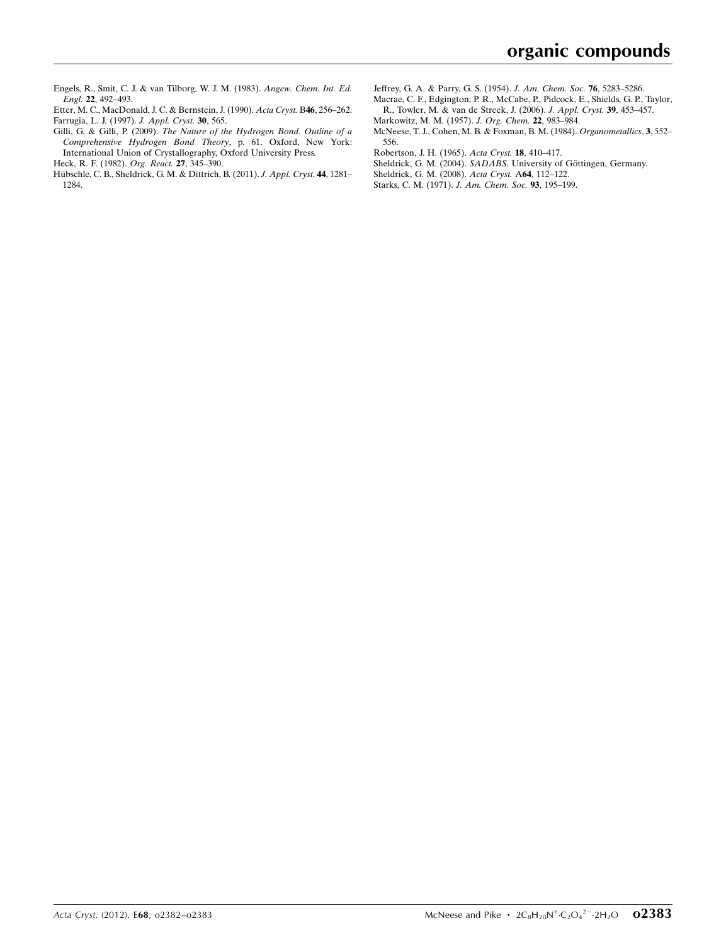Engels, R., Smit, C. J. & van Tilborg, W. J. M. (1983). Angew. Chem. Int. Ed. Engl. 22, 492–493.

- Etter, M. C., MacDonald, J. C. & Bernstein, J. (1990). Acta Cryst. B46, 256–262. Farrugia, L. J. (1997). J. Appl. Cryst. 30, 565.
- Gilli, G. & Gilli, P. (2009). The Nature of the Hydrogen Bond. Outline of a Comprehensive Hydrogen Bond Theory, p. 61. Oxford, New York: International Union of Crystallography, Oxford University Press.

Heck, R. F. (1982). Org. React. 27, 345–390.

- Hübschle, C. B., Sheldrick, G. M. & Dittrich, B. (2011). J. Appl. Cryst. 44, 1281– 1284.
- Jeffrey, G. A. & Parry, G. S. (1954). J. Am. Chem. Soc. 76, 5283–5286.
- Macrae, C. F., Edgington, P. R., McCabe, P., Pidcock, E., Shields, G. P., Taylor, R., Towler, M. & van de Streek, J. (2006). J. Appl. Cryst. 39, 453–457.
- Markowitz, M. M. (1957). J. Org. Chem. 22, 983–984.
- McNeese, T. J., Cohen, M. B. & Foxman, B. M. (1984). Organometallics, 3, 552– 556.
- Robertson, J. H. (1965). Acta Cryst. 18, 410–417.
- Sheldrick, G. M. (2004). SADABS. University of Göttingen, Germany.
- Sheldrick, G. M. (2008). Acta Cryst. A64, 112–122.
- Starks, C. M. (1971). J. Am. Chem. Soc. 93, 195–199.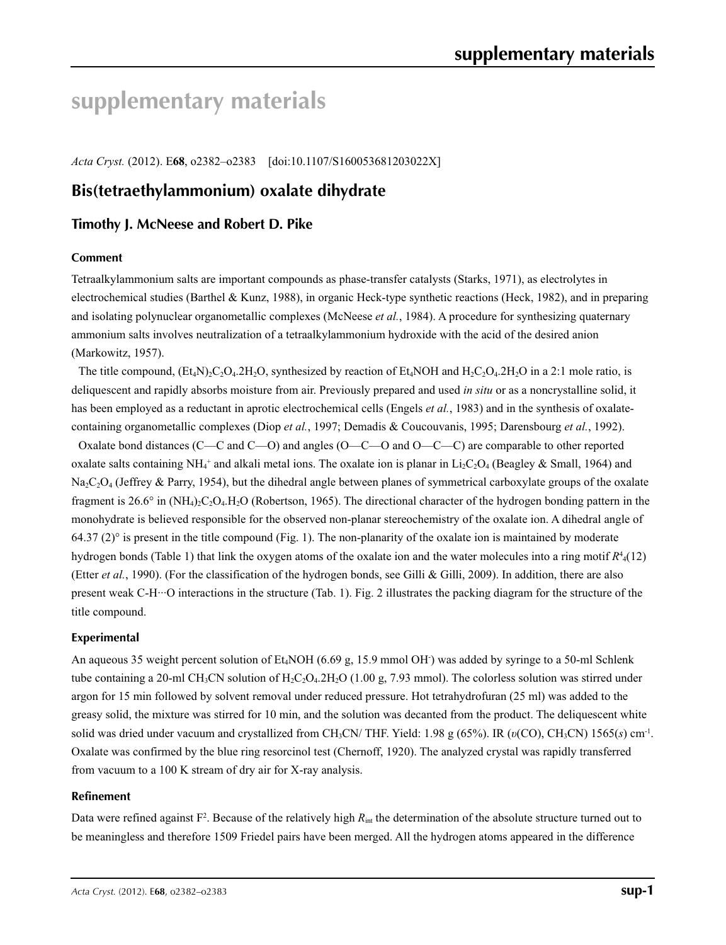# **supplementary materials**

*Acta Cryst.* (2012). E**68**, o2382–o2383 [doi:10.1107/S160053681203022X]

## **Bis(tetraethylammonium) oxalate dihydrate**

### **Timothy J. McNeese and Robert D. Pike**

#### **Comment**

Tetraalkylammonium salts are important compounds as phase-transfer catalysts (Starks, 1971), as electrolytes in electrochemical studies (Barthel & Kunz, 1988), in organic Heck-type synthetic reactions (Heck, 1982), and in preparing and isolating polynuclear organometallic complexes (McNeese *et al.*, 1984). A procedure for synthesizing quaternary ammonium salts involves neutralization of a tetraalkylammonium hydroxide with the acid of the desired anion (Markowitz, 1957).

The title compound,  $(Et_4N)_2C_2O_4.2H_2O$ , synthesized by reaction of  $Et_4NOH$  and  $H_2C_2O_4.2H_2O$  in a 2:1 mole ratio, is deliquescent and rapidly absorbs moisture from air. Previously prepared and used *in situ* or as a noncrystalline solid, it has been employed as a reductant in aprotic electrochemical cells (Engels *et al.*, 1983) and in the synthesis of oxalatecontaining organometallic complexes (Diop *et al.*, 1997; Demadis & Coucouvanis, 1995; Darensbourg *et al.*, 1992).

Oxalate bond distances (C—C and C—O) and angles (O—C—O and O—C—C) are comparable to other reported oxalate salts containing NH<sub>4</sub><sup>+</sup> and alkali metal ions. The oxalate ion is planar in Li<sub>2</sub>C<sub>2</sub>O<sub>4</sub> (Beagley & Small, 1964) and  $Na_2C_2O_4$  (Jeffrey & Parry, 1954), but the dihedral angle between planes of symmetrical carboxylate groups of the oxalate fragment is 26.6° in  $(NH_4)_2C_2O_4H_2O$  (Robertson, 1965). The directional character of the hydrogen bonding pattern in the monohydrate is believed responsible for the observed non-planar stereochemistry of the oxalate ion. A dihedral angle of 64.37 (2)<sup>°</sup> is present in the title compound (Fig. 1). The non-planarity of the oxalate ion is maintained by moderate hydrogen bonds (Table 1) that link the oxygen atoms of the oxalate ion and the water molecules into a ring motif *R*<sup>4</sup> 4(12) (Etter *et al.*, 1990). (For the classification of the hydrogen bonds, see Gilli & Gilli, 2009). In addition, there are also present weak C-H···O interactions in the structure (Tab. 1). Fig. 2 illustrates the packing diagram for the structure of the title compound.

#### **Experimental**

An aqueous 35 weight percent solution of Et<sub>4</sub>NOH (6.69 g, 15.9 mmol OH) was added by syringe to a 50-ml Schlenk tube containing a 20-ml CH<sub>3</sub>CN solution of H<sub>2</sub>C<sub>2</sub>O<sub>4</sub>.2H<sub>2</sub>O (1.00 g, 7.93 mmol). The colorless solution was stirred under argon for 15 min followed by solvent removal under reduced pressure. Hot tetrahydrofuran (25 ml) was added to the greasy solid, the mixture was stirred for 10 min, and the solution was decanted from the product. The deliquescent white solid was dried under vacuum and crystallized from CH3CN/ THF. Yield: 1.98 g (65%). IR (*υ*(CO), CH3CN) 1565(*s*) cm-1. Oxalate was confirmed by the blue ring resorcinol test (Chernoff, 1920). The analyzed crystal was rapidly transferred from vacuum to a 100 K stream of dry air for X-ray analysis.

#### **Refinement**

Data were refined against  $F^2$ . Because of the relatively high  $R_{int}$  the determination of the absolute structure turned out to be meaningless and therefore 1509 Friedel pairs have been merged. All the hydrogen atoms appeared in the difference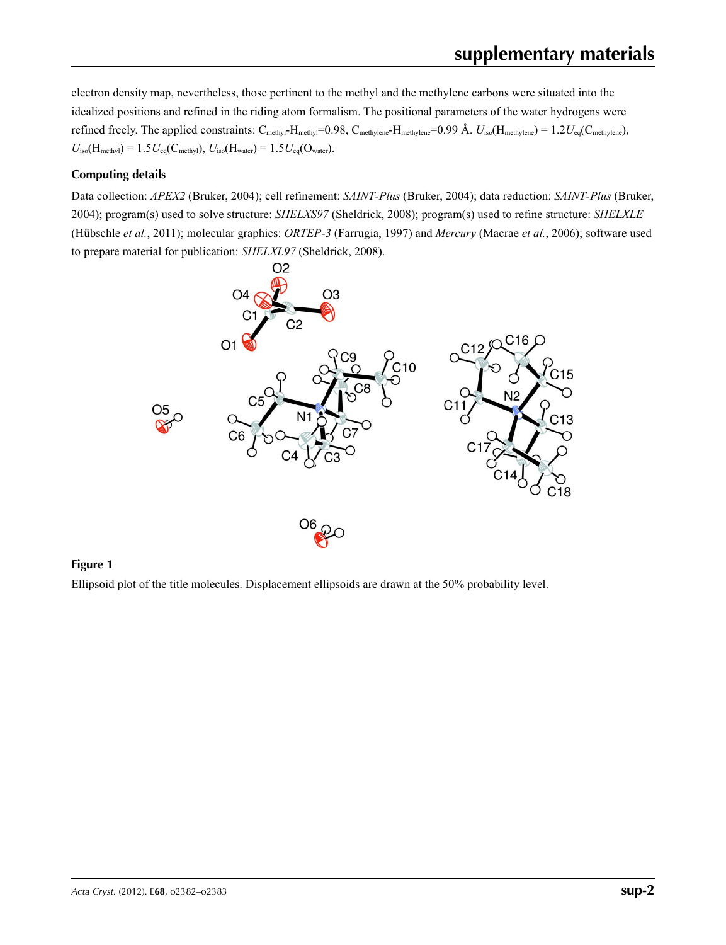electron density map, nevertheless, those pertinent to the methyl and the methylene carbons were situated into the idealized positions and refined in the riding atom formalism. The positional parameters of the water hydrogens were refined freely. The applied constraints:  $C_{\text{methyl}}-H_{\text{methyl}}=0.98$ ,  $C_{\text{methylene}}-H_{\text{methylene}}=0.99$  Å.  $U_{\text{iso}}(H_{\text{methylene}}) = 1.2U_{\text{eq}}(C_{\text{methylene}})$ ,  $U_{\text{iso}}(H_{\text{methyl}}) = 1.5U_{\text{eq}}(C_{\text{methyl}}), U_{\text{iso}}(H_{\text{water}}) = 1.5U_{\text{eq}}(O_{\text{water}}).$ 

#### **Computing details**

Data collection: *APEX2* (Bruker, 2004); cell refinement: *SAINT*-*Plus* (Bruker, 2004); data reduction: *SAINT*-*Plus* (Bruker, 2004); program(s) used to solve structure: *SHELXS97* (Sheldrick, 2008); program(s) used to refine structure: *SHELXLE* (Hübschle *et al.*, 2011); molecular graphics: *ORTEP*-*3* (Farrugia, 1997) and *Mercury* (Macrae *et al.*, 2006); software used to prepare material for publication: *SHELXL97* (Sheldrick, 2008).



#### **Figure 1**

Ellipsoid plot of the title molecules. Displacement ellipsoids are drawn at the 50% probability level.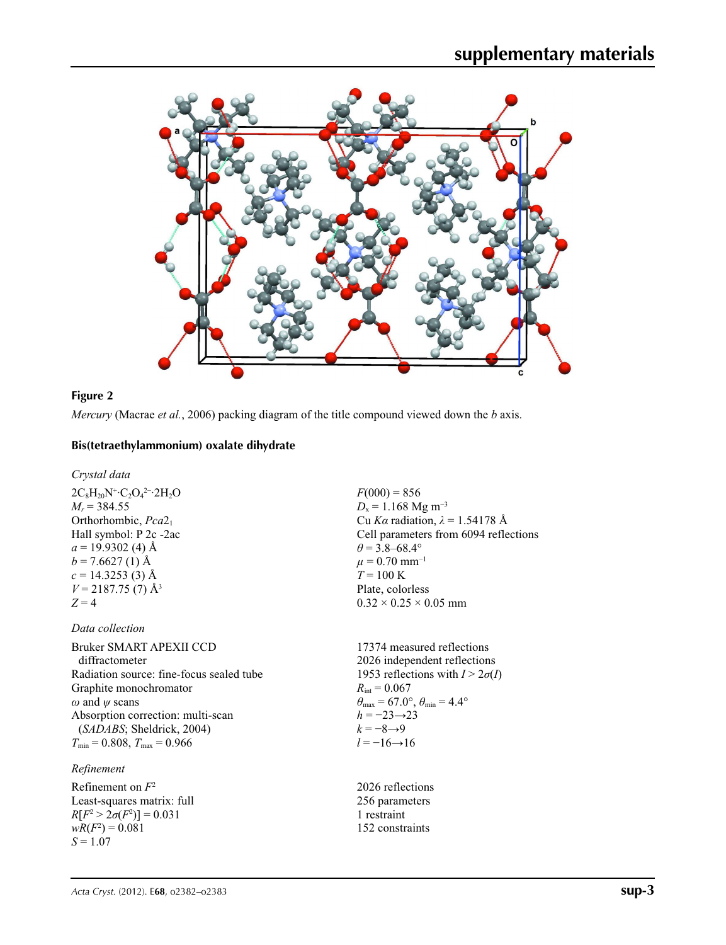

### **Figure 2**

*Mercury* (Macrae *et al.*, 2006) packing diagram of the title compound viewed down the *b* axis.

#### **Bis(tetraethylammonium) oxalate dihydrate**

*Crystal data*

 $2C_8H_{20}N^+$ · $C_2O_4^2$ <sup>-</sup>· $2H_2O$  $M_r$  = 384.55 Orthorhombic, *Pca*21 Hall symbol: P 2c -2ac  $a = 19.9302$  (4) Å  $b = 7.6627(1)$  Å  $c = 14.3253(3)$  Å  $V = 2187.75$  (7) Å<sup>3</sup>  $Z = 4$ 

### *Data collection*

Bruker SMART APEXII CCD diffractometer Radiation source: fine-focus sealed tube Graphite monochromator *ω* and *ψ* scans Absorption correction: multi-scan (*SADABS*; Sheldrick, 2004)  $T_{\text{min}} = 0.808, T_{\text{max}} = 0.966$ 

#### *Refinement*

Refinement on *F*<sup>2</sup> Least-squares matrix: full  $R[F^2 > 2\sigma(F^2)] = 0.031$  $wR(F^2) = 0.081$ *S* = 1.07

 $F(000) = 856$  $D_x = 1.168$  Mg m<sup>-3</sup> Cu *Kα* radiation, *λ* = 1.54178 Å Cell parameters from 6094 reflections  $\theta$  = 3.8–68.4°  $\mu = 0.70$  mm<sup>-1</sup>  $T = 100 K$ Plate, colorless  $0.32 \times 0.25 \times 0.05$  mm

17374 measured reflections 2026 independent reflections 1953 reflections with  $I > 2\sigma(I)$  $R_{\text{int}} = 0.067$  $\theta_{\text{max}} = 67.0^{\circ}, \theta_{\text{min}} = 4.4^{\circ}$  $h = -23 \rightarrow 23$  $k = -8 \rightarrow 9$  $l = -16 \rightarrow 16$ 

2026 reflections 256 parameters 1 restraint 152 constraints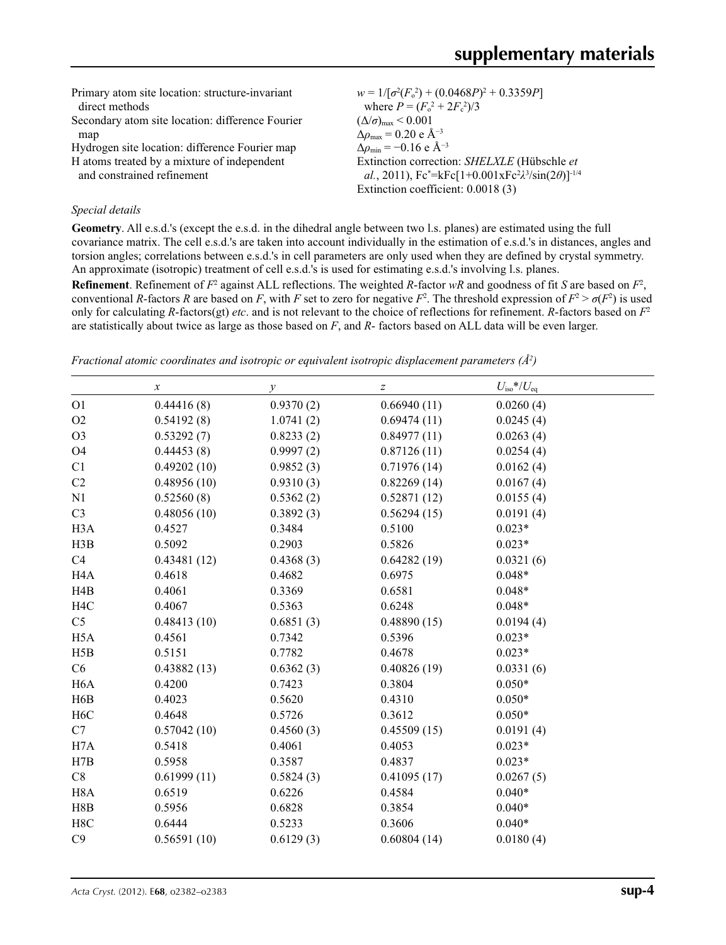| Primary atom site location: structure-invariant  | $w = 1/[\sigma^2(F_0^2) + (0.0468P)^2 + 0.3359P]$                   |
|--------------------------------------------------|---------------------------------------------------------------------|
| direct methods                                   | where $P = (F_o^2 + 2F_c^2)/3$                                      |
| Secondary atom site location: difference Fourier | $(\Delta/\sigma)_{\text{max}}$ < 0.001                              |
| map                                              | $\Delta\rho_{\text{max}}$ = 0.20 e Å <sup>-3</sup>                  |
| Hydrogen site location: difference Fourier map   | $\Delta \rho_{\rm min} = -0.16$ e Å <sup>-3</sup>                   |
| H atoms treated by a mixture of independent      | Extinction correction: SHELXLE (Hübschle et                         |
| and constrained refinement                       | al., 2011), $Fc^* = kFc[1+0.001xFc^2\lambda^3/sin(2\theta)]^{-1/4}$ |
|                                                  | Extinction coefficient: 0.0018 (3)                                  |
|                                                  |                                                                     |

#### *Special details*

**Geometry**. All e.s.d.'s (except the e.s.d. in the dihedral angle between two l.s. planes) are estimated using the full covariance matrix. The cell e.s.d.'s are taken into account individually in the estimation of e.s.d.'s in distances, angles and torsion angles; correlations between e.s.d.'s in cell parameters are only used when they are defined by crystal symmetry. An approximate (isotropic) treatment of cell e.s.d.'s is used for estimating e.s.d.'s involving l.s. planes.

**Refinement**. Refinement of  $F^2$  against ALL reflections. The weighted *R*-factor  $wR$  and goodness of fit *S* are based on  $F^2$ , conventional *R*-factors *R* are based on *F*, with *F* set to zero for negative  $F^2$ . The threshold expression of  $F^2 > \sigma(F^2)$  is used only for calculating *R*-factors(gt) *etc*. and is not relevant to the choice of reflections for refinement. *R*-factors based on *F*<sup>2</sup> are statistically about twice as large as those based on *F*, and *R*- factors based on ALL data will be even larger.

*Fractional atomic coordinates and isotropic or equivalent isotropic displacement parameters (Å<sup>2</sup>)* 

|                  | $\boldsymbol{x}$ | у         | $\boldsymbol{Z}$ | $U_{\rm iso}*/U_{\rm eq}$ |
|------------------|------------------|-----------|------------------|---------------------------|
| O <sub>1</sub>   | 0.44416(8)       | 0.9370(2) | 0.66940(11)      | 0.0260(4)                 |
| O2               | 0.54192(8)       | 1.0741(2) | 0.69474(11)      | 0.0245(4)                 |
| O <sub>3</sub>   | 0.53292(7)       | 0.8233(2) | 0.84977(11)      | 0.0263(4)                 |
| O <sub>4</sub>   | 0.44453(8)       | 0.9997(2) | 0.87126(11)      | 0.0254(4)                 |
| C1               | 0.49202(10)      | 0.9852(3) | 0.71976(14)      | 0.0162(4)                 |
| C2               | 0.48956(10)      | 0.9310(3) | 0.82269(14)      | 0.0167(4)                 |
| N1               | 0.52560(8)       | 0.5362(2) | 0.52871(12)      | 0.0155(4)                 |
| C <sub>3</sub>   | 0.48056(10)      | 0.3892(3) | 0.56294(15)      | 0.0191(4)                 |
| H <sub>3</sub> A | 0.4527           | 0.3484    | 0.5100           | $0.023*$                  |
| H3B              | 0.5092           | 0.2903    | 0.5826           | $0.023*$                  |
| C4               | 0.43481(12)      | 0.4368(3) | 0.64282(19)      | 0.0321(6)                 |
| H <sub>4</sub> A | 0.4618           | 0.4682    | 0.6975           | $0.048*$                  |
| H4B              | 0.4061           | 0.3369    | 0.6581           | $0.048*$                  |
| H <sub>4</sub> C | 0.4067           | 0.5363    | 0.6248           | $0.048*$                  |
| C <sub>5</sub>   | 0.48413(10)      | 0.6851(3) | 0.48890(15)      | 0.0194(4)                 |
| H <sub>5</sub> A | 0.4561           | 0.7342    | 0.5396           | $0.023*$                  |
| H5B              | 0.5151           | 0.7782    | 0.4678           | $0.023*$                  |
| C6               | 0.43882(13)      | 0.6362(3) | 0.40826(19)      | 0.0331(6)                 |
| H <sub>6</sub> A | 0.4200           | 0.7423    | 0.3804           | $0.050*$                  |
| H6B              | 0.4023           | 0.5620    | 0.4310           | $0.050*$                  |
| H <sub>6</sub> C | 0.4648           | 0.5726    | 0.3612           | $0.050*$                  |
| C7               | 0.57042(10)      | 0.4560(3) | 0.45509(15)      | 0.0191(4)                 |
| H7A              | 0.5418           | 0.4061    | 0.4053           | $0.023*$                  |
| H7B              | 0.5958           | 0.3587    | 0.4837           | $0.023*$                  |
| C8               | 0.61999(11)      | 0.5824(3) | 0.41095(17)      | 0.0267(5)                 |
| H <sub>8</sub> A | 0.6519           | 0.6226    | 0.4584           | $0.040*$                  |
| H8B              | 0.5956           | 0.6828    | 0.3854           | $0.040*$                  |
| H8C              | 0.6444           | 0.5233    | 0.3606           | $0.040*$                  |
| C9               | 0.56591(10)      | 0.6129(3) | 0.60804(14)      | 0.0180(4)                 |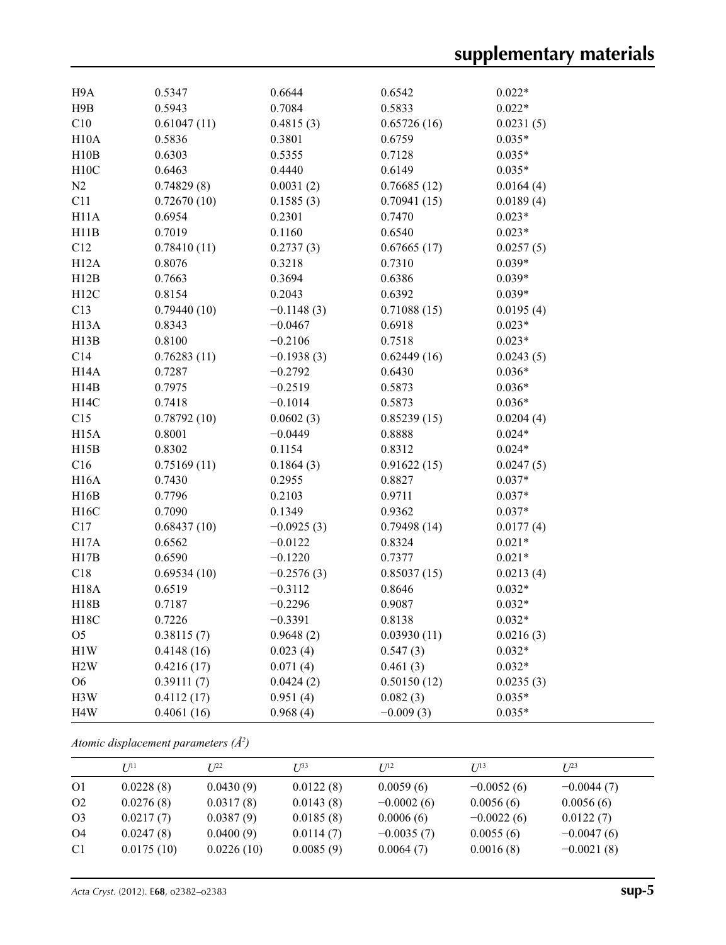| H <sub>9</sub> A  | 0.5347      | 0.6644       | 0.6542      | $0.022*$  |
|-------------------|-------------|--------------|-------------|-----------|
| H9B               | 0.5943      | 0.7084       | 0.5833      | $0.022*$  |
| C10               | 0.61047(11) | 0.4815(3)    | 0.65726(16) | 0.0231(5) |
| H10A              | 0.5836      | 0.3801       | 0.6759      | $0.035*$  |
| H10B              | 0.6303      | 0.5355       | 0.7128      | $0.035*$  |
| H10C              | 0.6463      | 0.4440       | 0.6149      | $0.035*$  |
| N2                | 0.74829(8)  | 0.0031(2)    | 0.76685(12) | 0.0164(4) |
| C11               | 0.72670(10) | 0.1585(3)    | 0.70941(15) | 0.0189(4) |
| H11A              | 0.6954      | 0.2301       | 0.7470      | $0.023*$  |
| H11B              | 0.7019      | 0.1160       | 0.6540      | $0.023*$  |
| C12               | 0.78410(11) | 0.2737(3)    | 0.67665(17) | 0.0257(5) |
| H12A              | 0.8076      | 0.3218       | 0.7310      | $0.039*$  |
| H12B              | 0.7663      | 0.3694       | 0.6386      | $0.039*$  |
| H12C              | 0.8154      | 0.2043       | 0.6392      | $0.039*$  |
| C13               | 0.79440(10) | $-0.1148(3)$ | 0.71088(15) | 0.0195(4) |
| H <sub>13</sub> A | 0.8343      | $-0.0467$    | 0.6918      | $0.023*$  |
| H13B              | 0.8100      | $-0.2106$    | 0.7518      | $0.023*$  |
| C14               | 0.76283(11) | $-0.1938(3)$ | 0.62449(16) | 0.0243(5) |
| H14A              | 0.7287      | $-0.2792$    | 0.6430      | $0.036*$  |
| H14B              | 0.7975      | $-0.2519$    | 0.5873      | $0.036*$  |
| H14C              | 0.7418      | $-0.1014$    | 0.5873      | $0.036*$  |
| C15               | 0.78792(10) | 0.0602(3)    | 0.85239(15) | 0.0204(4) |
| H <sub>15</sub> A | 0.8001      | $-0.0449$    | 0.8888      | $0.024*$  |
| H15B              | 0.8302      | 0.1154       | 0.8312      | $0.024*$  |
| C16               | 0.75169(11) | 0.1864(3)    | 0.91622(15) | 0.0247(5) |
| <b>H16A</b>       | 0.7430      | 0.2955       | 0.8827      | $0.037*$  |
| H16B              | 0.7796      | 0.2103       | 0.9711      | $0.037*$  |
| H16C              | 0.7090      | 0.1349       | 0.9362      | $0.037*$  |
| C17               | 0.68437(10) | $-0.0925(3)$ | 0.79498(14) | 0.0177(4) |
| H17A              | 0.6562      | $-0.0122$    | 0.8324      | $0.021*$  |
| H17B              | 0.6590      | $-0.1220$    | 0.7377      | $0.021*$  |
| C18               | 0.69534(10) | $-0.2576(3)$ | 0.85037(15) | 0.0213(4) |
| H18A              | 0.6519      | $-0.3112$    | 0.8646      | $0.032*$  |
| H18B              | 0.7187      | $-0.2296$    | 0.9087      | $0.032*$  |
| H18C              | 0.7226      | $-0.3391$    | 0.8138      | $0.032*$  |
| O <sub>5</sub>    | 0.38115(7)  | 0.9648(2)    | 0.03930(11) | 0.0216(3) |
| H1W               | 0.4148(16)  | 0.023(4)     | 0.547(3)    | $0.032*$  |
| H2W               | 0.4216(17)  | 0.071(4)     | 0.461(3)    | $0.032*$  |
| <b>O6</b>         | 0.39111(7)  | 0.0424(2)    | 0.50150(12) | 0.0235(3) |
| H3W               | 0.4112(17)  | 0.951(4)     | 0.082(3)    | $0.035*$  |
| H <sub>4</sub> W  | 0.4061(16)  | 0.968(4)     | $-0.009(3)$ | $0.035*$  |

*Atomic displacement parameters (Å2 )*

|                | $U^{11}$   | $I^{22}$   | $I^{\prime\prime}$ 33 | I/I <sup>2</sup> | $I/I^3$      | I/23         |
|----------------|------------|------------|-----------------------|------------------|--------------|--------------|
| O <sub>1</sub> | 0.0228(8)  | 0.0430(9)  | 0.0122(8)             | 0.0059(6)        | $-0.0052(6)$ | $-0.0044(7)$ |
| O <sub>2</sub> | 0.0276(8)  | 0.0317(8)  | 0.0143(8)             | $-0.0002(6)$     | 0.0056(6)    | 0.0056(6)    |
| O <sub>3</sub> | 0.0217(7)  | 0.0387(9)  | 0.0185(8)             | 0.0006(6)        | $-0.0022(6)$ | 0.0122(7)    |
| <b>O4</b>      | 0.0247(8)  | 0.0400(9)  | 0.0114(7)             | $-0.0035(7)$     | 0.0055(6)    | $-0.0047(6)$ |
| C <sub>1</sub> | 0.0175(10) | 0.0226(10) | 0.0085(9)             | 0.0064(7)        | 0.0016(8)    | $-0.0021(8)$ |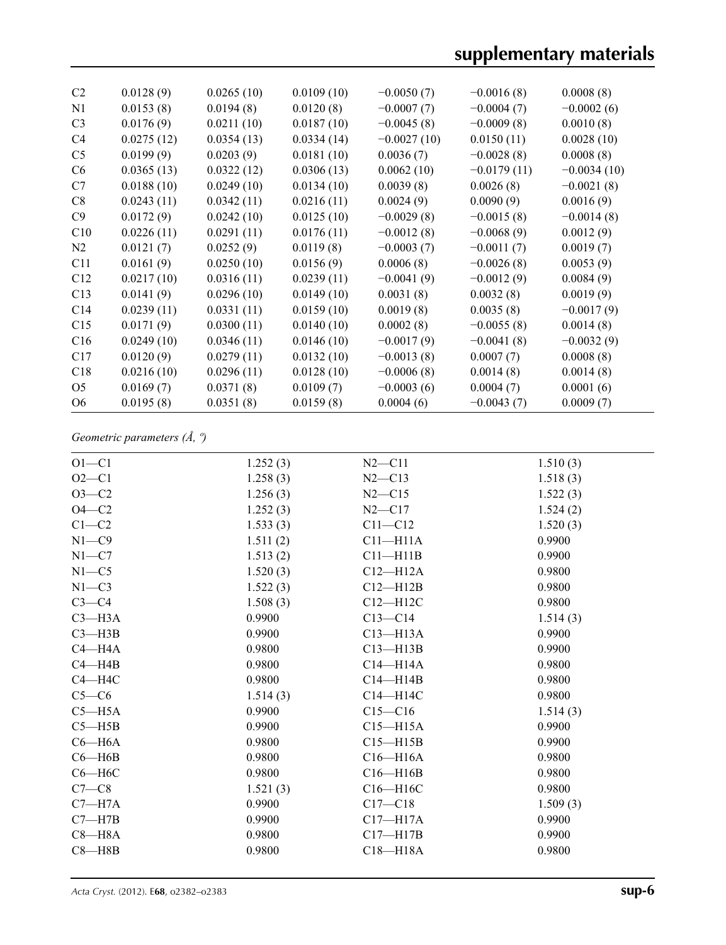| C <sub>2</sub> | 0.0128(9)  | 0.0265(10) | 0.0109(10) | $-0.0050(7)$  | $-0.0016(8)$  | 0.0008(8)     |
|----------------|------------|------------|------------|---------------|---------------|---------------|
| N1             | 0.0153(8)  | 0.0194(8)  | 0.0120(8)  | $-0.0007(7)$  | $-0.0004(7)$  | $-0.0002(6)$  |
| C <sub>3</sub> | 0.0176(9)  | 0.0211(10) | 0.0187(10) | $-0.0045(8)$  | $-0.0009(8)$  | 0.0010(8)     |
| C <sub>4</sub> | 0.0275(12) | 0.0354(13) | 0.0334(14) | $-0.0027(10)$ | 0.0150(11)    | 0.0028(10)    |
| C <sub>5</sub> | 0.0199(9)  | 0.0203(9)  | 0.0181(10) | 0.0036(7)     | $-0.0028(8)$  | 0.0008(8)     |
| C <sub>6</sub> | 0.0365(13) | 0.0322(12) | 0.0306(13) | 0.0062(10)    | $-0.0179(11)$ | $-0.0034(10)$ |
| C7             | 0.0188(10) | 0.0249(10) | 0.0134(10) | 0.0039(8)     | 0.0026(8)     | $-0.0021(8)$  |
| C8             | 0.0243(11) | 0.0342(11) | 0.0216(11) | 0.0024(9)     | 0.0090(9)     | 0.0016(9)     |
| C9             | 0.0172(9)  | 0.0242(10) | 0.0125(10) | $-0.0029(8)$  | $-0.0015(8)$  | $-0.0014(8)$  |
| C10            | 0.0226(11) | 0.0291(11) | 0.0176(11) | $-0.0012(8)$  | $-0.0068(9)$  | 0.0012(9)     |
| N2             | 0.0121(7)  | 0.0252(9)  | 0.0119(8)  | $-0.0003(7)$  | $-0.0011(7)$  | 0.0019(7)     |
| C11            | 0.0161(9)  | 0.0250(10) | 0.0156(9)  | 0.0006(8)     | $-0.0026(8)$  | 0.0053(9)     |
| C12            | 0.0217(10) | 0.0316(11) | 0.0239(11) | $-0.0041(9)$  | $-0.0012(9)$  | 0.0084(9)     |
| C13            | 0.0141(9)  | 0.0296(10) | 0.0149(10) | 0.0031(8)     | 0.0032(8)     | 0.0019(9)     |
| C14            | 0.0239(11) | 0.0331(11) | 0.0159(10) | 0.0019(8)     | 0.0035(8)     | $-0.0017(9)$  |
| C15            | 0.0171(9)  | 0.0300(11) | 0.0140(10) | 0.0002(8)     | $-0.0055(8)$  | 0.0014(8)     |
| C16            | 0.0249(10) | 0.0346(11) | 0.0146(10) | $-0.0017(9)$  | $-0.0041(8)$  | $-0.0032(9)$  |
| C17            | 0.0120(9)  | 0.0279(11) | 0.0132(10) | $-0.0013(8)$  | 0.0007(7)     | 0.0008(8)     |
| C18            | 0.0216(10) | 0.0296(11) | 0.0128(10) | $-0.0006(8)$  | 0.0014(8)     | 0.0014(8)     |
| O <sub>5</sub> | 0.0169(7)  | 0.0371(8)  | 0.0109(7)  | $-0.0003(6)$  | 0.0004(7)     | 0.0001(6)     |
| O <sub>6</sub> | 0.0195(8)  | 0.0351(8)  | 0.0159(8)  | 0.0004(6)     | $-0.0043(7)$  | 0.0009(7)     |
|                |            |            |            |               |               |               |

*Geometric parameters (Å, º)*

| $O1 - C1$  | 1.252(3) | $N2 - C11$   | 1.510(3) |
|------------|----------|--------------|----------|
| $O2-C1$    | 1.258(3) | $N2 - C13$   | 1.518(3) |
| $O3-C2$    | 1.256(3) | $N2 - C15$   | 1.522(3) |
| $O4-C2$    | 1.252(3) | $N2 - C17$   | 1.524(2) |
| $C1-C2$    | 1.533(3) | $C11 - C12$  | 1.520(3) |
| $N1 - C9$  | 1.511(2) | $C11 - H11A$ | 0.9900   |
| $N1 - C7$  | 1.513(2) | $C11 - H11B$ | 0.9900   |
| $N1 - C5$  | 1.520(3) | $C12 - H12A$ | 0.9800   |
| $N1 - C3$  | 1.522(3) | $C12 - H12B$ | 0.9800   |
| $C3-C4$    | 1.508(3) | $C12 - H12C$ | 0.9800   |
| $C3 - H3A$ | 0.9900   | $C13 - C14$  | 1.514(3) |
| $C3 - H3B$ | 0.9900   | $C13 - H13A$ | 0.9900   |
| $C4 - H4A$ | 0.9800   | $C13 - H13B$ | 0.9900   |
| $C4 - H4B$ | 0.9800   | $C14 - H14A$ | 0.9800   |
| $C4 - H4C$ | 0.9800   | $C14 - H14B$ | 0.9800   |
| $C5-C6$    | 1.514(3) | $C14 - H14C$ | 0.9800   |
| $C5 - H5A$ | 0.9900   | $C15 - C16$  | 1.514(3) |
| $C5 - H5B$ | 0.9900   | $C15 - H15A$ | 0.9900   |
| $C6 - H6A$ | 0.9800   | $C15 - H15B$ | 0.9900   |
| $C6 - H6B$ | 0.9800   | $C16 - H16A$ | 0.9800   |
| $C6 - H6C$ | 0.9800   | $C16 - H16B$ | 0.9800   |
| $C7-C8$    | 1.521(3) | C16-H16C     | 0.9800   |
| $C7 - H7A$ | 0.9900   | $C17 - C18$  | 1.509(3) |
| $C7 - H7B$ | 0.9900   | $C17 - H17A$ | 0.9900   |
| $C8 - H8A$ | 0.9800   | $C17 - H17B$ | 0.9900   |
| $C8 - H8B$ | 0.9800   | $C18 - H18A$ | 0.9800   |
|            |          |              |          |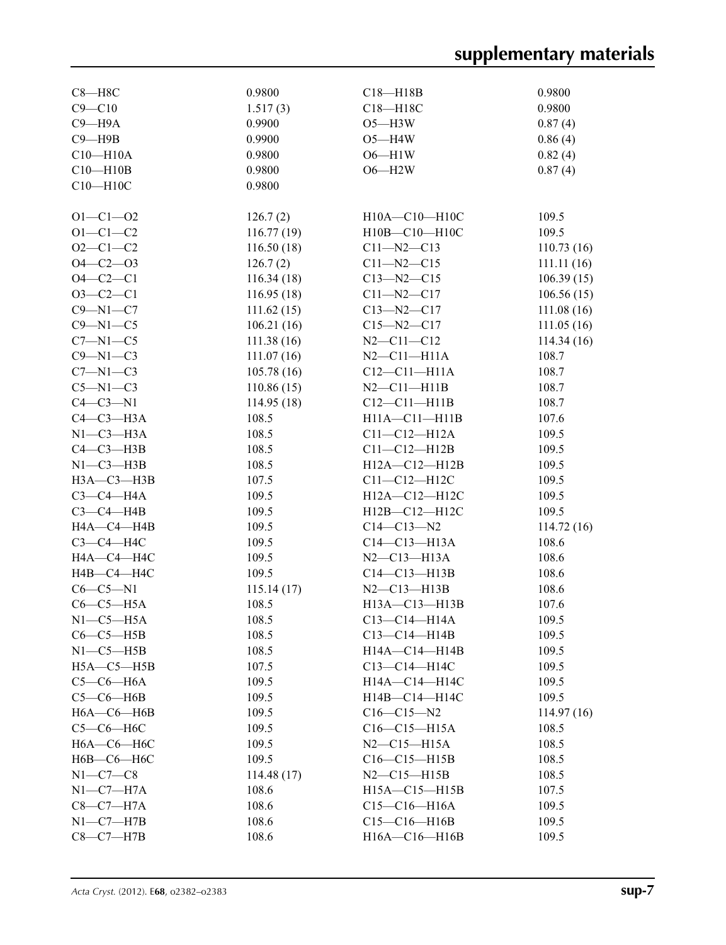| $C8 - H8C$       | 0.9800     | $C18 - H18B$          | 0.9800     |
|------------------|------------|-----------------------|------------|
| $C9 - C10$       | 1.517(3)   | C18-H18C              | 0.9800     |
| $C9 - H9A$       | 0.9900     | $O5 - H3W$            | 0.87(4)    |
| $C9 - H9B$       | 0.9900     | $O5 - H4W$            | 0.86(4)    |
| $C10 - H10A$     | 0.9800     | $O6 - H1W$            | 0.82(4)    |
| $C10 - H10B$     | 0.9800     | $O6 - H2W$            | 0.87(4)    |
| $C10 - H10C$     | 0.9800     |                       |            |
|                  |            |                       |            |
| $O1 - C1 - O2$   | 126.7(2)   | H10A-C10-H10C         | 109.5      |
| $O1 - C1 - C2$   | 116.77(19) | H10B-C10-H10C         | 109.5      |
| $O2 - C1 - C2$   | 116.50(18) | $C11 - N2 - C13$      | 110.73(16) |
| $O4 - C2 - O3$   | 126.7(2)   | $C11 - N2 - C15$      | 111.11(16) |
| $O4 - C2 - C1$   | 116.34(18) | $C13 - N2 - C15$      | 106.39(15) |
| $O3-C2-C1$       | 116.95(18) | $C11 - N2 - C17$      | 106.56(15) |
| $C9 - N1 - C7$   | 111.62(15) | $C13 - N2 - C17$      | 111.08(16) |
| $C9 - N1 - C5$   | 106.21(16) | $C15 - N2 - C17$      | 111.05(16) |
| $C7 - N1 - C5$   | 111.38(16) | $N2 - C11 - C12$      | 114.34(16) |
| $C9 - N1 - C3$   | 111.07(16) | $N2$ –C11–H11A        | 108.7      |
| $C7 - N1 - C3$   | 105.78(16) | $C12 - C11 - H11A$    | 108.7      |
| $C5-M1-C3$       | 110.86(15) | $N2 - C11 - H11B$     | 108.7      |
| $C4-C3-N1$       | 114.95(18) | $C12-C11-H11B$        | 108.7      |
| $C4-C3-H3A$      | 108.5      | $H11A - C11 - H11B$   | 107.6      |
| $N1-C3-H3A$      | 108.5      | $C11 - C12 - H12A$    | 109.5      |
| $C4-C3-H3B$      | 108.5      | $C11-C12-H12B$        | 109.5      |
| $N1-C3-H3B$      | 108.5      | $H12A - C12 - H12B$   | 109.5      |
| $H3A - C3 - H3B$ | 107.5      | $C11-C12-H12C$        | 109.5      |
| $C3-C4-H4A$      | 109.5      | H12A-C12-H12C         | 109.5      |
| $C3-C4-HAB$      | 109.5      |                       | 109.5      |
|                  | 109.5      | $H12B - C12 - H12C$   |            |
| HA—C4—H4B        |            | $C14 - C13 - N2$      | 114.72(16) |
| $C3-C4-H4C$      | 109.5      | $C14 - C13 - H13A$    | 108.6      |
| H4A-C4-H4C       | 109.5      | $N2$ — $C13$ — $H13A$ | 108.6      |
| $H4B - C4 - H4C$ | 109.5      | $C14-C13-H13B$        | 108.6      |
| $C6-C5-N1$       | 115.14(17) | $N2 - C13 - H13B$     | 108.6      |
| $C6-C5-H5A$      | 108.5      | H13A-C13-H13B         | 107.6      |
| $N1-C5-H5A$      | 108.5      | $C13-C14-H14A$        | 109.5      |
| $C6-C5-H5B$      | 108.5      | $C13 - C14 - H14B$    | 109.5      |
| $N1-C5-H5B$      | 108.5      | H14A-C14-H14B         | 109.5      |
| $H5A - C5 - H5B$ | 107.5      | C13-C14-H14C          | 109.5      |
| $C5-C6-H6A$      | 109.5      | H14A-C14-H14C         | 109.5      |
| $C5-C6-H6B$      | 109.5      | H14B-C14-H14C         | 109.5      |
| $H6A - C6 - H6B$ | 109.5      | $C16-C15-N2$          | 114.97(16) |
| $C5-C6-H6C$      | 109.5      | $C16-C15-H15A$        | 108.5      |
| $H6A - C6 - H6C$ | 109.5      | $N2 - C15 - H15A$     | 108.5      |
| Н6В-С6-Н6С       | 109.5      | $C16-C15-H15B$        | 108.5      |
| $N1-C7-C8$       | 114.48(17) | $N2 - C15 - H15B$     | 108.5      |
| $N1-C7-H7A$      | 108.6      | $H15A - C15 - H15B$   | 107.5      |
| $C8-C7-H7A$      | 108.6      | $C15-C16-H16A$        | 109.5      |
| $N1-C7-H7B$      | 108.6      | $C15-C16-H16B$        | 109.5      |
| $C8-C7-H7B$      | 108.6      | H16A-C16-H16B         | 109.5      |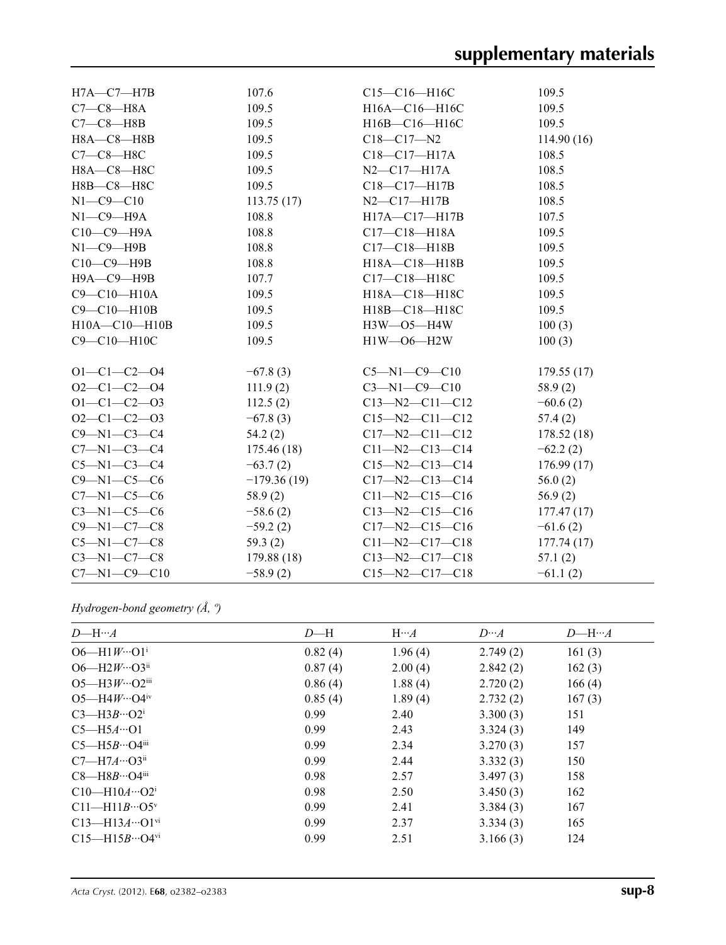| $H7A - C7 - H7B$     | 107.6         | $C15-C16-H16C$         | 109.5      |
|----------------------|---------------|------------------------|------------|
| $C7-C8-H8A$          | 109.5         | H16A-C16-H16C          | 109.5      |
| $C7-C8$ —H8B         | 109.5         | H16B-C16-H16C          | 109.5      |
| $H8A - C8 - H8B$     | 109.5         | $C18 - C17 - N2$       | 114.90(16) |
| $C7-C8-H8C$          | 109.5         | $C18 - C17 - H17A$     | 108.5      |
| H8A-C8-H8C           | 109.5         | $N2 - C17 - H17A$      | 108.5      |
| H8B-C8-H8C           | 109.5         | $C18 - C17 - H17B$     | 108.5      |
| $N1 - C9 - C10$      | 113.75(17)    | $N2$ — $C17$ — $H17B$  | 108.5      |
| $N1-C9-H9A$          | 108.8         | H17A-C17-H17B          | 107.5      |
| $C10-C9-H9A$         | 108.8         | $C17 - C18 - H18A$     | 109.5      |
| $N1-C9-$ H9B         | 108.8         | $C17 - C18 - H18B$     | 109.5      |
| $C10-C9-$ H9B        | 108.8         | H18A-C18-H18B          | 109.5      |
| Н9А-С9-Н9В           | 107.7         | C17-C18-H18C           | 109.5      |
| $C9 - C10 - H10A$    | 109.5         | H18A-C18-H18C          | 109.5      |
| C9-C10-H10B          | 109.5         | H18B-C18-H18C          | 109.5      |
| H10A-C10-H10B        | 109.5         | $H3W$ —O5—H4W          | 100(3)     |
| C9-C10-H10C          | 109.5         | H1W-06-H2W             | 100(3)     |
|                      |               |                        |            |
| $O1 - C1 - C2 - O4$  | $-67.8(3)$    | $C5 - N1 - C9 - C10$   | 179.55(17) |
| $O2 - C1 - C2 - O4$  | 111.9(2)      | $C3 - N1 - C9 - C10$   | 58.9(2)    |
| $O1 - C1 - C2 - O3$  | 112.5(2)      | $C13 - N2 - C11 - C12$ | $-60.6(2)$ |
| $O2-C1-C2-O3$        | $-67.8(3)$    | $C15 - N2 - C11 - C12$ | 57.4(2)    |
| $C9 - N1 - C3 - C4$  | 54.2(2)       | $C17 - N2 - C11 - C12$ | 178.52(18) |
| $C7 - N1 - C3 - C4$  | 175.46(18)    | $C11 - N2 - C13 - C14$ | $-62.2(2)$ |
| $C5 - N1 - C3 - C4$  | $-63.7(2)$    | $C15 - N2 - C13 - C14$ | 176.99(17) |
| $C9 - N1 - C5 - C6$  | $-179.36(19)$ | $C17 - N2 - C13 - C14$ | 56.0(2)    |
| $C7 - N1 - C5 - C6$  | 58.9(2)       | $C11 - N2 - C15 - C16$ | 56.9(2)    |
| $C3-M1-C5-C6$        | $-58.6(2)$    | $C13 - N2 - C15 - C16$ | 177.47(17) |
| $C9 - N1 - C7 - C8$  | $-59.2(2)$    | $C17 - N2 - C15 - C16$ | $-61.6(2)$ |
| $C5 - N1 - C7 - C8$  | 59.3(2)       | $C11 - N2 - C17 - C18$ | 177.74(17) |
| $C3 - N1 - C7 - C8$  | 179.88(18)    | $C13 - N2 - C17 - C18$ | 57.1(2)    |
| $C7 - N1 - C9 - C10$ | $-58.9(2)$    | $C15 - N2 - C17 - C18$ | $-61.1(2)$ |

## *Hydrogen-bond geometry (Å, º)*

| $D$ —H… $A$                          | $D - H$ | $H \cdots A$ | $D \cdots A$ | $D$ —H… $A$ |
|--------------------------------------|---------|--------------|--------------|-------------|
| $O6 - H1 W \cdots O1^i$              | 0.82(4) | 1.96(4)      | 2.749(2)     | 161(3)      |
| $O6$ —H2 $W \cdots O3$ <sup>ii</sup> | 0.87(4) | 2.00(4)      | 2.842(2)     | 162(3)      |
| $O5 - H3W \cdots O2$ <sup>iii</sup>  | 0.86(4) | 1.88(4)      | 2.720(2)     | 166(4)      |
| $O5 - H4W \cdots O4^{\rm iv}$        | 0.85(4) | 1.89(4)      | 2.732(2)     | 167(3)      |
| $C3$ —H $3B$ …O2 <sup>i</sup>        | 0.99    | 2.40         | 3.300(3)     | 151         |
| $C5 - H5A \cdot 01$                  | 0.99    | 2.43         | 3.324(3)     | 149         |
| $C5$ —H5B…O4iii                      | 0.99    | 2.34         | 3.270(3)     | 157         |
| $C7 - H7A \cdots O3^{ii}$            | 0.99    | 2.44         | 3.332(3)     | 150         |
| $C8$ —H $8B$ …O4iii                  | 0.98    | 2.57         | 3.497(3)     | 158         |
| $C10-H10A\cdots O2^i$                | 0.98    | 2.50         | 3.450(3)     | 162         |
| $C11 - H11B \cdots O5^v$             | 0.99    | 2.41         | 3.384(3)     | 167         |
| $C13 - H13A \cdots O1^{vi}$          | 0.99    | 2.37         | 3.334(3)     | 165         |
| $C15 - H15B \cdots O4$ <sup>vi</sup> | 0.99    | 2.51         | 3.166(3)     | 124         |
|                                      |         |              |              |             |